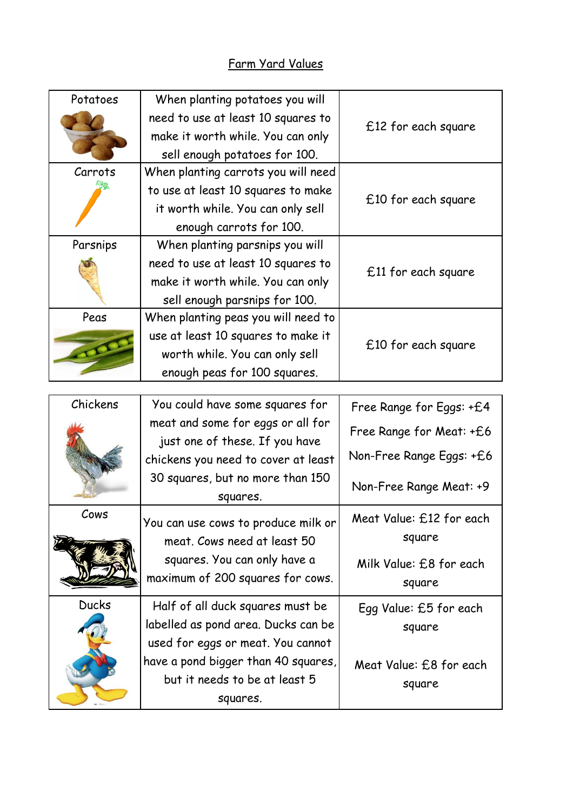## Farm Yard Values

| Potatoes     | When planting potatoes you will<br>need to use at least 10 squares to<br>make it worth while. You can only<br>sell enough potatoes for 100.                | £12 for each square                                                             |
|--------------|------------------------------------------------------------------------------------------------------------------------------------------------------------|---------------------------------------------------------------------------------|
| Carrots      | When planting carrots you will need<br>to use at least 10 squares to make<br>it worth while. You can only sell<br>enough carrots for 100.                  | £10 for each square                                                             |
| Parsnips     | When planting parsnips you will<br>need to use at least 10 squares to<br>make it worth while. You can only<br>sell enough parsnips for 100.                | $£11$ for each square                                                           |
| Peas         | When planting peas you will need to<br>use at least 10 squares to make it<br>worth while. You can only sell<br>enough peas for 100 squares.                | £10 for each square                                                             |
| Chickens     | You could have some squares for                                                                                                                            | Free Range for Eggs: +£4                                                        |
|              | meat and some for eggs or all for<br>just one of these. If you have<br>chickens you need to cover at least<br>30 squares, but no more than 150<br>squares. | Free Range for Meat: +£6<br>Non-Free Range Eggs: +£6<br>Non-Free Range Meat: +9 |
| Cows         | You can use cows to produce milk or<br>meat. Cows need at least 50<br>squares. You can only have a<br>maximum of 200 squares for cows.                     | Meat Value: £12 for each<br>square<br>Milk Value: £8 for each<br>square         |
| <b>Ducks</b> | Half of all duck squares must be<br>labelled as pond area. Ducks can be<br>used for eggs or meat. You cannot<br>have a pond bigger than 40 squares,        | Egg Value: £5 for each<br>square<br>Meat Value: £8 for each                     |
|              | but it needs to be at least 5<br>squares.                                                                                                                  | square                                                                          |